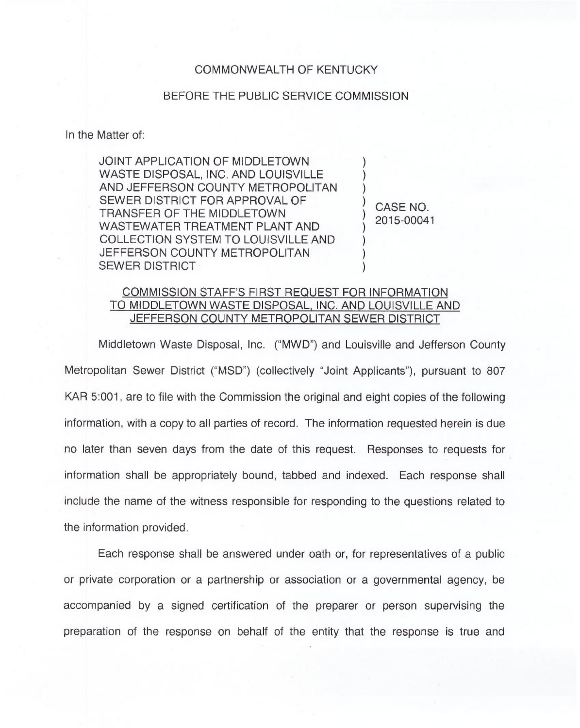## COMMONWEALTH OF KENTUCKY

## BEFORE THE PUBLIC SERVICE COMMISSION

In the Matter of:

JOINT APPLICATION OF MIDDLETOWN WASTE DISPOSAL, INC. AND LOUISVILLE AND JEFFERSON COUNTY METROPOLITAN SEWER DISTRICT FOR APPROVAL OF TRANSFER OF THE MIDDLETOWN WASTEWATER TREATMENT PLANT AND COLLECTION SYSTEM TO LOUISVILLE AND JEFFERSON COUNTY METROPOLITAN SEWER DISTRICT

CASE NO. 2015-00041

) ) )

)

)

) ) )

## COMMISSION STAFF'S FIRST REQUEST FOR INFORMATION TO MIDDLETOWN WASTE DISPOSAL, INC. AND LOUISVILLE AND JEFFERSON COUNTY METROPOLITAN SEWER DISTRICT

Middletown Waste Disposal, Inc. ("MWD") and Louisville and Jefferson County Metropolitan Sewer District ("MSD") (collectively "Joint Applicants"), pursuant to 807 KAR 5:001, are to file with the Commission the original and eight copies of the following information, with a copy to all parties of record. The information requested herein is due no later than seven days from the date of this request. Responses to requests for information shall be appropriately bound, tabbed and indexed. Each response shall include the name of the witness responsible for responding to the questions related to the information provided.

Each response shall be answered under oath or, for representatives of a public or private corporation or a partnership or association or a governmental agency, be accompanied by a signed certification of the preparer or person supervising the preparation of the response on behalf of the entity that the response is true and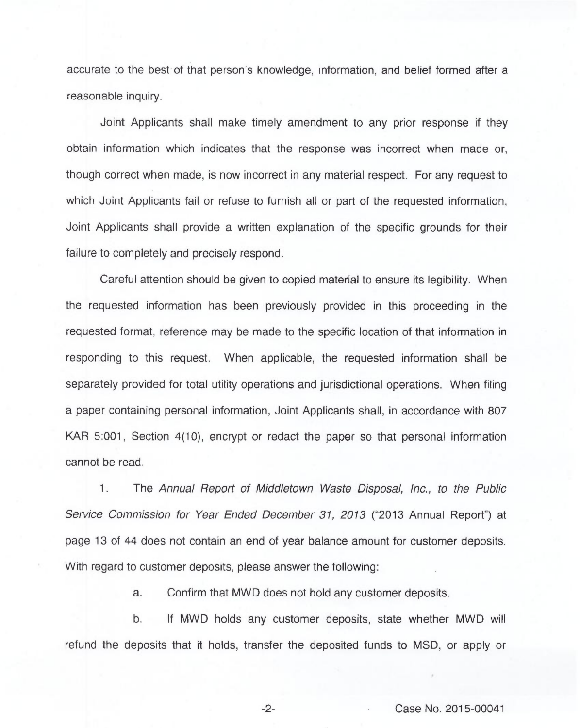accurate to the best of that person's knowledge, information, and belief formed after a reasonable inquiry.

Joint Applicants shall make timely amendment to any prior response if they obtain information which indicates that the response was incorrect when made or, though correct when made, is now incorrect in any material respect. For any request to which Joint Applicants fail or refuse to furnish all or part of the requested information, Joint Applicants shall provide a written explanation of the specific grounds for their failure to completely and precisely respond.

Careful attention should be given to copied material to ensure its legibility. When the requested information has been previously provided in this proceeding in the requested format, reference may be made to the specific location of that information in responding to this request. When applicable, the requested information shall be separately provided for total utility operations and jurisdictional operations. When filing a paper containing personal information, Joint Applicants shall, in accordance with 807 KAR 5:001, Section 4(10), encrypt or redact the paper so that personal information cannot be read.

1. The Annual Report of Middletown Waste Disposal, Inc., to the Public Service Commission for Year Ended December 31, 2013 ("2013 Annual Report") at page 13 of 44 does not contain an end of year balance amount for customer deposits. With regard to customer deposits, please answer the following:

a. Confirm that MWD does not hold any customer deposits.

b. If MWD holds any customer deposits, state whether MWD will refund the deposits that it holds, transfer the deposited funds to MSD, or apply or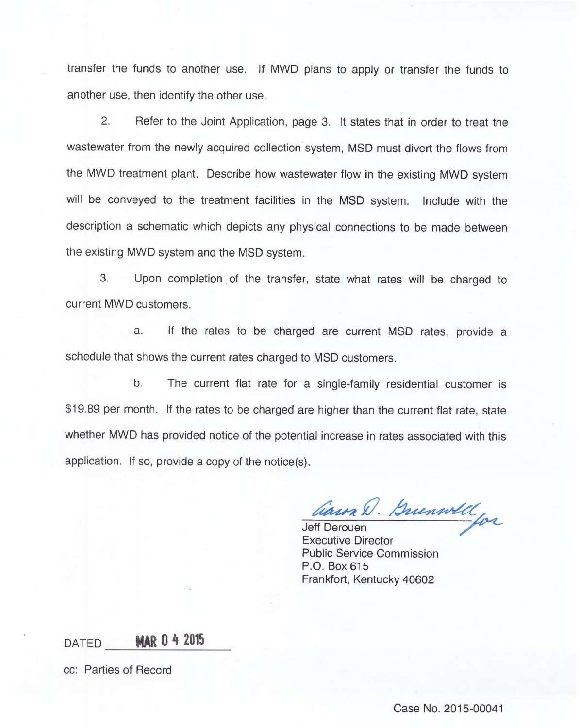transfer the funds to another use. If MWD plans to apply or transfer the funds to another use, then identify the other use.

2. Refer to the Joint Application, page 3. It states that in order to treat the wastewater from the newly acquired collection system, MSD must divert the flows from the MWD treatment plant. Describe how wastewater flow in the existing MWD system will be conveyed to the treatment facilities in the MSD system. Include with the description a schematic which depicts any physical connections to be made between the existing MWD system and the MSD system.

Upon completion of the transfer, state what rates will be charged to 3. current MWD customers.

a. If the rates to be charged are current MSD rates, provide a schedule that shows the current rates charged to MSD customers.

b. The current flat rate for a single-family residential customer is \$19.89 per month. If the rates to be charged are higher than the current flat rate, state whether MWD has provided notice of the potential increase in rates associated with this application. If so, provide a copy of the notice(s).

Caun D. Buenwell

Executive Director Public Service Commission P.O. Box 615 Frankfort, Kentucky 40602

DATED **MAR 0 4 2015** 

cc: Parties of Record

Case No. 2015-00041